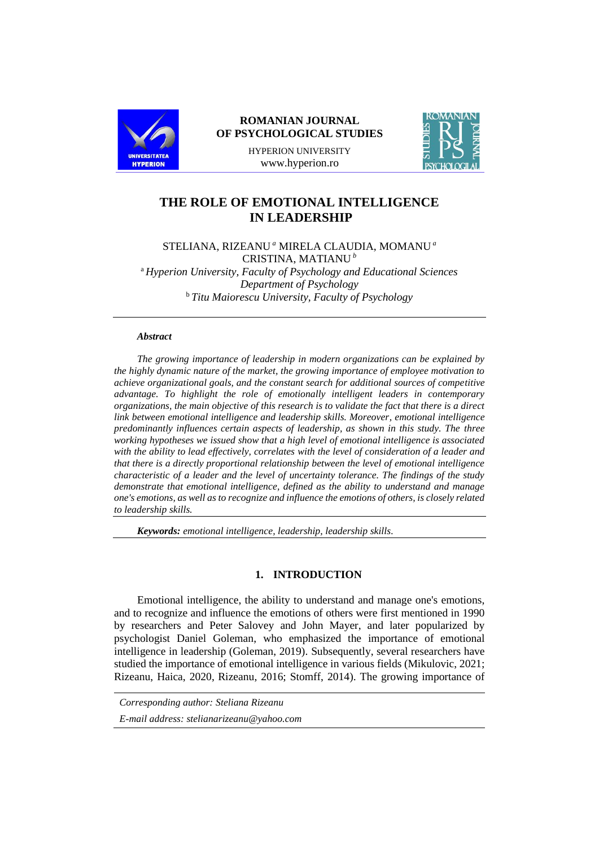

# **ROMANIAN JOURNAL OF PSYCHOLOGICAL STUDIES**

HYPERION UNIVERSITY www.hyperion.ro



# **THE ROLE OF EMOTIONAL INTELLIGENCE IN LEADERSHIP**

STELIANA, RIZEANU *<sup>a</sup>* MIRELA CLAUDIA, MOMANU *<sup>a</sup>* CRISTINA, MATIANU *<sup>b</sup>* <sup>a</sup> *Hyperion University, Faculty of Psychology and Educational Sciences Department of Psychology* <sup>b</sup> *Titu Maiorescu University, Faculty of Psychology*

# *Abstract*

*The growing importance of leadership in modern organizations can be explained by the highly dynamic nature of the market, the growing importance of employee motivation to achieve organizational goals, and the constant search for additional sources of competitive advantage. To highlight the role of emotionally intelligent leaders in contemporary organizations, the main objective of this research is to validate the fact that there is a direct link between emotional intelligence and leadership skills. Moreover, emotional intelligence predominantly influences certain aspects of leadership, as shown in this study. The three working hypotheses we issued show that a high level of emotional intelligence is associated with the ability to lead effectively, correlates with the level of consideration of a leader and that there is a directly proportional relationship between the level of emotional intelligence characteristic of a leader and the level of uncertainty tolerance. The findings of the study demonstrate that emotional intelligence, defined as the ability to understand and manage one's emotions, as well as to recognize and influence the emotions of others, is closely related to leadership skills.*

*Keywords: emotional intelligence, leadership, leadership skills.*

#### **1. INTRODUCTION**

Emotional intelligence, the ability to understand and manage one's emotions, and to recognize and influence the emotions of others were first mentioned in 1990 by researchers and Peter Salovey and John Mayer, and later popularized by psychologist Daniel Goleman, who emphasized the importance of emotional intelligence in leadership (Goleman, 2019). Subsequently, several researchers have studied the importance of emotional intelligence in various fields (Mikulovic, 2021; Rizeanu, Haica, 2020, Rizeanu, 2016; Stomff, 2014). The growing importance of

*Corresponding author: Steliana Rizeanu*

*E-mail address: stelianarizeanu@yahoo.com*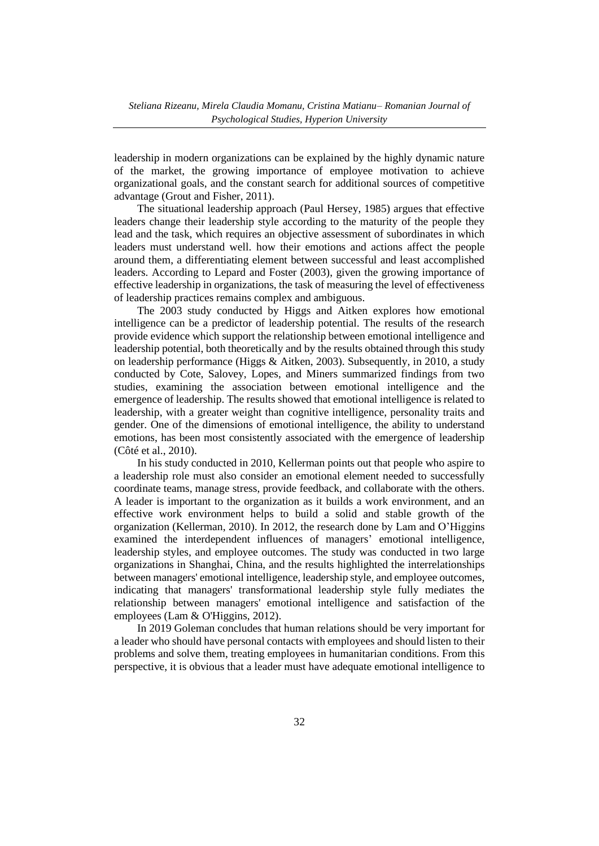leadership in modern organizations can be explained by the highly dynamic nature of the market, the growing importance of employee motivation to achieve organizational goals, and the constant search for additional sources of competitive advantage (Grout and Fisher, 2011).

The situational leadership approach (Paul Hersey, 1985) argues that effective leaders change their leadership style according to the maturity of the people they lead and the task, which requires an objective assessment of subordinates in which leaders must understand well. how their emotions and actions affect the people around them, a differentiating element between successful and least accomplished leaders. According to Lepard and Foster (2003), given the growing importance of effective leadership in organizations, the task of measuring the level of effectiveness of leadership practices remains complex and ambiguous.

The 2003 study conducted by Higgs and Aitken explores how emotional intelligence can be a predictor of leadership potential. The results of the research provide evidence which support the relationship between emotional intelligence and leadership potential, both theoretically and by the results obtained through this study on leadership performance (Higgs & Aitken, 2003). Subsequently, in 2010, a study conducted by Cote, Salovey, Lopes, and Miners summarized findings from two studies, examining the association between emotional intelligence and the emergence of leadership. The results showed that emotional intelligence is related to leadership, with a greater weight than cognitive intelligence, personality traits and gender. One of the dimensions of emotional intelligence, the ability to understand emotions, has been most consistently associated with the emergence of leadership (Côté et al., 2010).

In his study conducted in 2010, Kellerman points out that people who aspire to a leadership role must also consider an emotional element needed to successfully coordinate teams, manage stress, provide feedback, and collaborate with the others. A leader is important to the organization as it builds a work environment, and an effective work environment helps to build a solid and stable growth of the organization (Kellerman, 2010). In 2012, the research done by Lam and O'Higgins examined the interdependent influences of managers' emotional intelligence, leadership styles, and employee outcomes. The study was conducted in two large organizations in Shanghai, China, and the results highlighted the interrelationships between managers' emotional intelligence, leadership style, and employee outcomes, indicating that managers' transformational leadership style fully mediates the relationship between managers' emotional intelligence and satisfaction of the employees (Lam & O'Higgins, 2012).

In 2019 Goleman concludes that human relations should be very important for a leader who should have personal contacts with employees and should listen to their problems and solve them, treating employees in humanitarian conditions. From this perspective, it is obvious that a leader must have adequate emotional intelligence to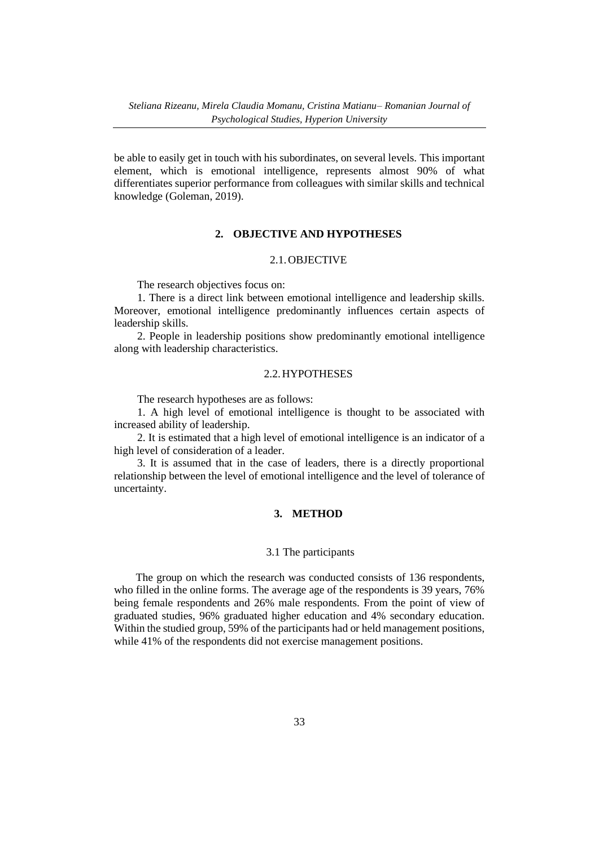be able to easily get in touch with his subordinates, on several levels. This important element, which is emotional intelligence, represents almost 90% of what differentiates superior performance from colleagues with similar skills and technical knowledge (Goleman, 2019).

#### **2. OBJECTIVE AND HYPOTHESES**

### 2.1.OBJECTIVE

The research objectives focus on:

1. There is a direct link between emotional intelligence and leadership skills. Moreover, emotional intelligence predominantly influences certain aspects of leadership skills.

2. People in leadership positions show predominantly emotional intelligence along with leadership characteristics.

#### 2.2.HYPOTHESES

The research hypotheses are as follows:

1. A high level of emotional intelligence is thought to be associated with increased ability of leadership.

2. It is estimated that a high level of emotional intelligence is an indicator of a high level of consideration of a leader.

3. It is assumed that in the case of leaders, there is a directly proportional relationship between the level of emotional intelligence and the level of tolerance of uncertainty.

# **3. METHOD**

#### 3.1 The participants

The group on which the research was conducted consists of 136 respondents, who filled in the online forms. The average age of the respondents is 39 years, 76% being female respondents and 26% male respondents. From the point of view of graduated studies, 96% graduated higher education and 4% secondary education. Within the studied group, 59% of the participants had or held management positions, while 41% of the respondents did not exercise management positions.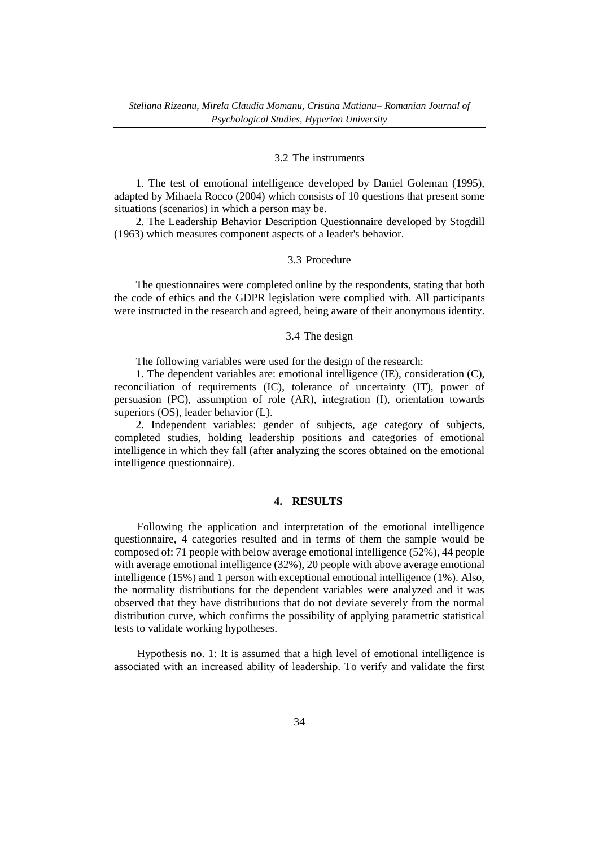### 3.2 The instruments

1. The test of emotional intelligence developed by Daniel Goleman (1995), adapted by Mihaela Rocco (2004) which consists of 10 questions that present some situations (scenarios) in which a person may be.

2. The Leadership Behavior Description Questionnaire developed by Stogdill (1963) which measures component aspects of a leader's behavior.

### 3.3 Procedure

The questionnaires were completed online by the respondents, stating that both the code of ethics and the GDPR legislation were complied with. All participants were instructed in the research and agreed, being aware of their anonymous identity.

### 3.4 The design

The following variables were used for the design of the research:

1. The dependent variables are: emotional intelligence (IE), consideration (C), reconciliation of requirements (IC), tolerance of uncertainty (IT), power of persuasion (PC), assumption of role (AR), integration (I), orientation towards superiors (OS), leader behavior (L).

2. Independent variables: gender of subjects, age category of subjects, completed studies, holding leadership positions and categories of emotional intelligence in which they fall (after analyzing the scores obtained on the emotional intelligence questionnaire).

### **4. RESULTS**

Following the application and interpretation of the emotional intelligence questionnaire, 4 categories resulted and in terms of them the sample would be composed of: 71 people with below average emotional intelligence (52%), 44 people with average emotional intelligence (32%), 20 people with above average emotional intelligence (15%) and 1 person with exceptional emotional intelligence (1%). Also, the normality distributions for the dependent variables were analyzed and it was observed that they have distributions that do not deviate severely from the normal distribution curve, which confirms the possibility of applying parametric statistical tests to validate working hypotheses.

Hypothesis no. 1: It is assumed that a high level of emotional intelligence is associated with an increased ability of leadership. To verify and validate the first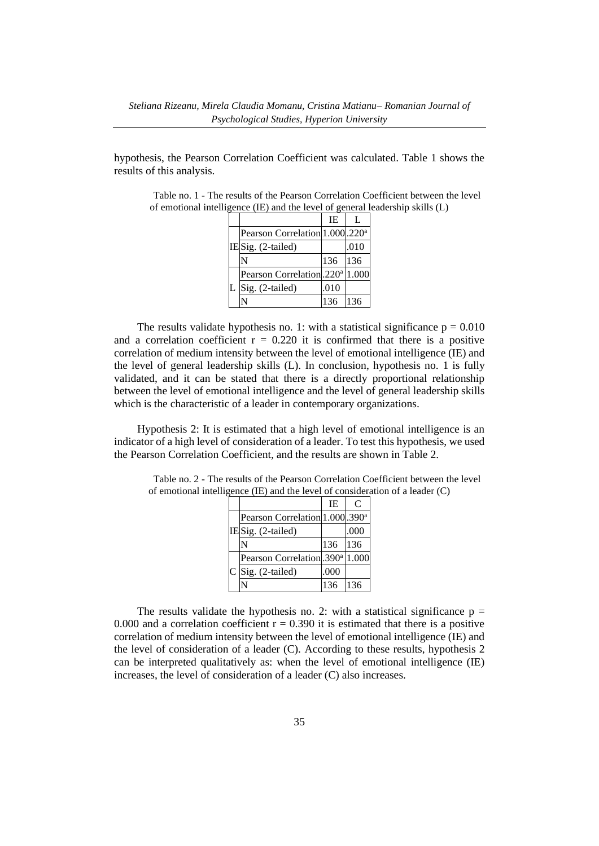hypothesis, the Pearson Correlation Coefficient was calculated. Table 1 shows the results of this analysis.

|  |                                             | IE   | L    |
|--|---------------------------------------------|------|------|
|  | Pearson Correlation 1.000.220 <sup>a</sup>  |      |      |
|  | IESig. (2-tailed)                           |      | .010 |
|  |                                             | 136  | 136  |
|  | Pearson Correlation. 220 <sup>a</sup> 1.000 |      |      |
|  | Sig. (2-tailed)                             | .010 |      |
|  |                                             | 136  | 136  |

Table no. 1 - The results of the Pearson Correlation Coefficient between the level of emotional intelligence (IE) and the level of general leadership skills (L)

The results validate hypothesis no. 1: with a statistical significance  $p = 0.010$ and a correlation coefficient  $r = 0.220$  it is confirmed that there is a positive correlation of medium intensity between the level of emotional intelligence (IE) and the level of general leadership skills (L). In conclusion, hypothesis no. 1 is fully validated, and it can be stated that there is a directly proportional relationship between the level of emotional intelligence and the level of general leadership skills which is the characteristic of a leader in contemporary organizations.

Hypothesis 2: It is estimated that a high level of emotional intelligence is an indicator of a high level of consideration of a leader. To test this hypothesis, we used the Pearson Correlation Coefficient, and the results are shown in Table 2.

|  |                                             | TE.  | C     |
|--|---------------------------------------------|------|-------|
|  | Pearson Correlation 1.000 .390 <sup>a</sup> |      |       |
|  | IESig. (2-tailed)                           |      | .000  |
|  |                                             | 136  | 136   |
|  | Pearson Correlation.390 <sup>a</sup>        |      | 1.000 |
|  | $C$ Sig. (2-tailed)                         | .000 |       |
|  |                                             | 136  | 136   |

Table no. 2 - The results of the Pearson Correlation Coefficient between the level of emotional intelligence (IE) and the level of consideration of a leader (C)

The results validate the hypothesis no. 2: with a statistical significance  $p =$ 0.000 and a correlation coefficient  $r = 0.390$  it is estimated that there is a positive correlation of medium intensity between the level of emotional intelligence (IE) and the level of consideration of a leader (C). According to these results, hypothesis 2 can be interpreted qualitatively as: when the level of emotional intelligence (IE) increases, the level of consideration of a leader (C) also increases.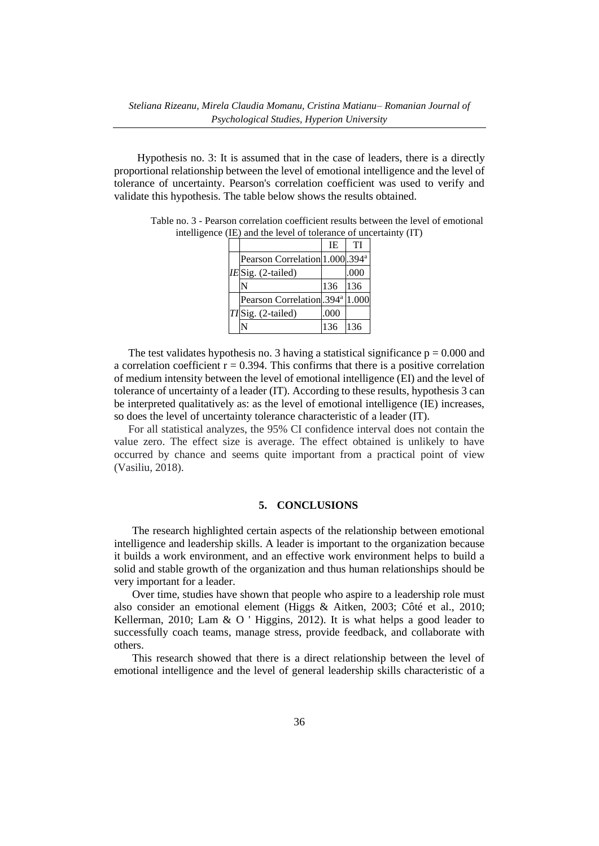Hypothesis no. 3: It is assumed that in the case of leaders, there is a directly proportional relationship between the level of emotional intelligence and the level of tolerance of uncertainty. Pearson's correlation coefficient was used to verify and validate this hypothesis. The table below shows the results obtained.

|  |                                             | IE.  | TI   |
|--|---------------------------------------------|------|------|
|  | Pearson Correlation 1.000 .394 <sup>a</sup> |      |      |
|  | IESig. (2-tailed)                           |      | .000 |
|  |                                             | 136  | 136  |
|  | Pearson Correlation.394 <sup>a</sup> 1.000  |      |      |
|  | TISig. (2-tailed)                           | .000 |      |
|  |                                             | 136  | 136  |

Table no. 3 - Pearson correlation coefficient results between the level of emotional intelligence (IE) and the level of tolerance of uncertainty (IT)

The test validates hypothesis no. 3 having a statistical significance  $p = 0.000$  and a correlation coefficient  $r = 0.394$ . This confirms that there is a positive correlation of medium intensity between the level of emotional intelligence (EI) and the level of tolerance of uncertainty of a leader (IT). According to these results, hypothesis 3 can be interpreted qualitatively as: as the level of emotional intelligence (IE) increases, so does the level of uncertainty tolerance characteristic of a leader (IT).

For all statistical analyzes, the 95% CI confidence interval does not contain the value zero. The effect size is average. The effect obtained is unlikely to have occurred by chance and seems quite important from a practical point of view (Vasiliu, 2018).

#### **5. CONCLUSIONS**

The research highlighted certain aspects of the relationship between emotional intelligence and leadership skills. A leader is important to the organization because it builds a work environment, and an effective work environment helps to build a solid and stable growth of the organization and thus human relationships should be very important for a leader.

Over time, studies have shown that people who aspire to a leadership role must also consider an emotional element (Higgs & Aitken, 2003; Côté et al., 2010; Kellerman, 2010; Lam & O ' Higgins, 2012). It is what helps a good leader to successfully coach teams, manage stress, provide feedback, and collaborate with others.

This research showed that there is a direct relationship between the level of emotional intelligence and the level of general leadership skills characteristic of a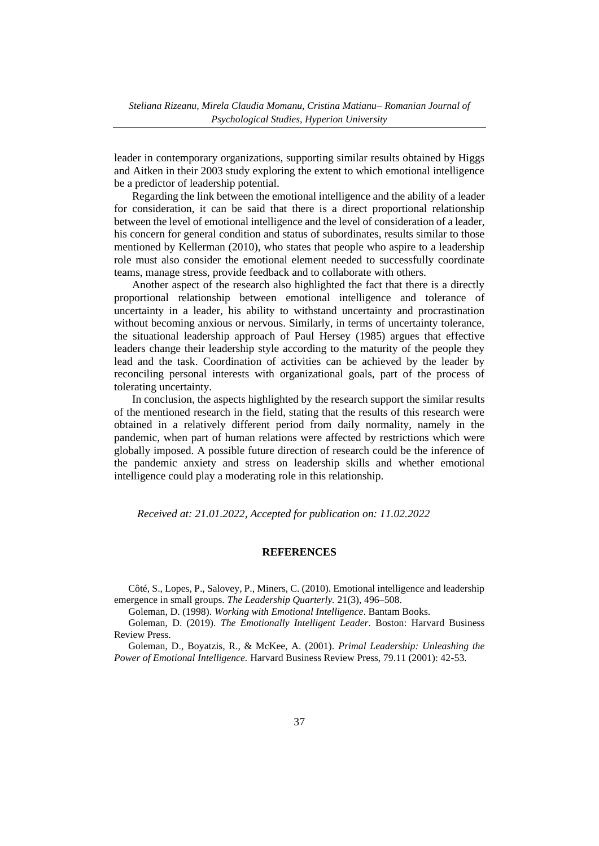leader in contemporary organizations, supporting similar results obtained by Higgs and Aitken in their 2003 study exploring the extent to which emotional intelligence be a predictor of leadership potential.

Regarding the link between the emotional intelligence and the ability of a leader for consideration, it can be said that there is a direct proportional relationship between the level of emotional intelligence and the level of consideration of a leader, his concern for general condition and status of subordinates, results similar to those mentioned by Kellerman (2010), who states that people who aspire to a leadership role must also consider the emotional element needed to successfully coordinate teams, manage stress, provide feedback and to collaborate with others.

Another aspect of the research also highlighted the fact that there is a directly proportional relationship between emotional intelligence and tolerance of uncertainty in a leader, his ability to withstand uncertainty and procrastination without becoming anxious or nervous. Similarly, in terms of uncertainty tolerance, the situational leadership approach of Paul Hersey (1985) argues that effective leaders change their leadership style according to the maturity of the people they lead and the task. Coordination of activities can be achieved by the leader by reconciling personal interests with organizational goals, part of the process of tolerating uncertainty.

In conclusion, the aspects highlighted by the research support the similar results of the mentioned research in the field, stating that the results of this research were obtained in a relatively different period from daily normality, namely in the pandemic, when part of human relations were affected by restrictions which were globally imposed. A possible future direction of research could be the inference of the pandemic anxiety and stress on leadership skills and whether emotional intelligence could play a moderating role in this relationship.

*Received at: 21.01.2022, Accepted for publication on: 11.02.2022*

#### **REFERENCES**

Côté, S., Lopes, P., Salovey, P., Miners, C. (2010). Emotional intelligence and leadership emergence in small groups. *The Leadership Quarterly.* 21(3), 496–508.

Goleman, D. (1998). *Working with Emotional Intelligence*. Bantam Books.

Goleman, D. (2019). *The Emotionally Intelligent Leader*. Boston: Harvard Business Review Press.

Goleman, D., Boyatzis, R., & McKee, A. (2001). *Primal Leadership: Unleashing the Power of Emotional Intelligence.* Harvard Business Review Press, 79.11 (2001): 42-53.